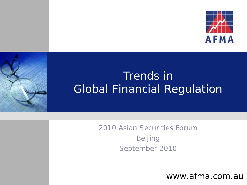

## Trends in Global Financial Regulation

2010 Asian Securities Forum Beijing September 2010

www.afma.com.au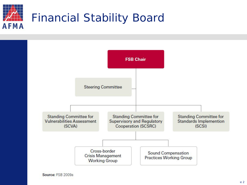



Source: FSB 2009a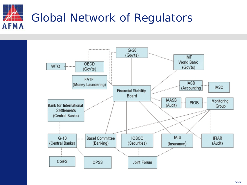

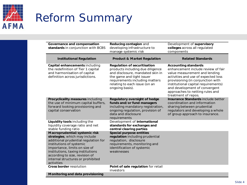

## Reform Summary

| Governance and compensation                                                                                                                                                                                                                                                                   | Reducing contagion and                                                                                                                                                                                                         | Development of supervisory                                                                                                                                                                                                                                                                                       |
|-----------------------------------------------------------------------------------------------------------------------------------------------------------------------------------------------------------------------------------------------------------------------------------------------|--------------------------------------------------------------------------------------------------------------------------------------------------------------------------------------------------------------------------------|------------------------------------------------------------------------------------------------------------------------------------------------------------------------------------------------------------------------------------------------------------------------------------------------------------------|
| standards in conjunction with BCBS                                                                                                                                                                                                                                                            | developing infrastructure to<br>manage systemic risk                                                                                                                                                                           | colleges across all regulated<br>components                                                                                                                                                                                                                                                                      |
| <b>Institutional Regulation</b>                                                                                                                                                                                                                                                               | <b>Product &amp; Market Regulation</b>                                                                                                                                                                                         | <b>Related Standards</b>                                                                                                                                                                                                                                                                                         |
| Capital enhancements including<br>the redefinition of Tier 1 capital<br>and harmonisation of capital<br>definition across jurisdictions.                                                                                                                                                      | <b>Regulation of securitisation</b><br>products including due diligence<br>and disclosure, mandated skin in<br>the game and tight issuer<br>requirements including matters<br>relating to each issue (on an<br>ongoing basis). | <b>Accounting standards</b><br>enhancement include review of fair<br>value measurement and lending<br>activities and use of expected loss<br>provisioning (in conjunction with<br>institutional capital requirements)<br>and development of convergent<br>approaches to netting rules and<br>treatment of repos. |
| Procyclicality measures including<br>the use of minimum capital buffers,<br>forward looking provisioning and<br>capital conservation                                                                                                                                                          | Regulatory oversight of hedge<br>funds and/or fund managers<br>including mandatory registration,<br>ongoing regulation, provision of<br>data and disclosure<br>requirements                                                    | Insurance Standards include better<br>coordination and information<br>sharing between prudential<br>regulators and developing a whole<br>of group approach to insurance.                                                                                                                                         |
| Liquidity tools including the<br>liquidity coverage ratio and net<br>stable funding ratio                                                                                                                                                                                                     | Development of international<br>standards for exchanges and<br>central clearing parties                                                                                                                                        |                                                                                                                                                                                                                                                                                                                  |
| Macroprudential/systemic risk<br>strategies, which may include<br>additional prudential regulation for<br>institutions of systemic<br>importance, limits on size of<br>institutions, taxing institutions<br>according to size, revision of<br>internal structures or prohibited<br>activities | Special purpose entities<br>regulation including prudential<br>regulation, disclosure<br>requirements, monitoring and<br>identification of systemic<br>weaknesses                                                              |                                                                                                                                                                                                                                                                                                                  |
| <b>Cross border resolution</b>                                                                                                                                                                                                                                                                | Point of sale regulation for retail<br>investors                                                                                                                                                                               |                                                                                                                                                                                                                                                                                                                  |
| Monitoring and data provisioning                                                                                                                                                                                                                                                              |                                                                                                                                                                                                                                |                                                                                                                                                                                                                                                                                                                  |